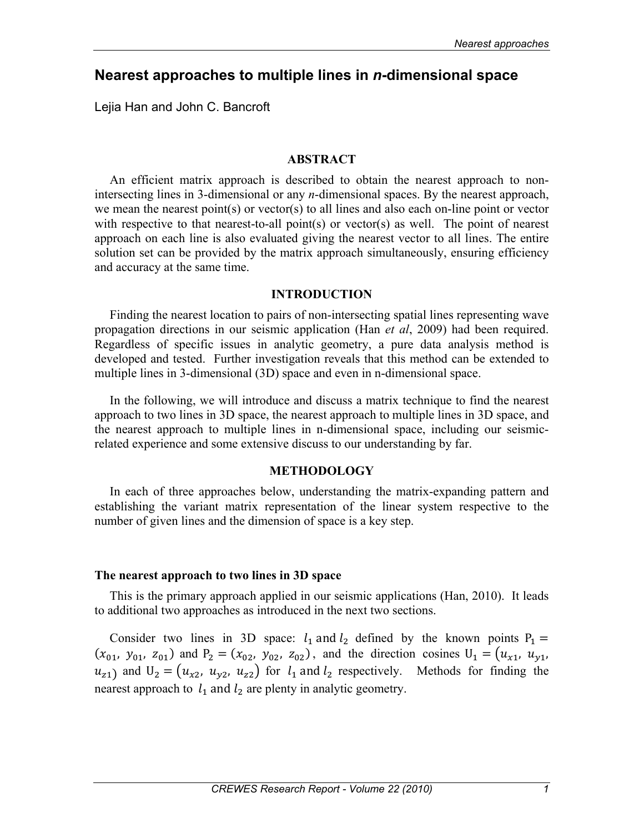# **Nearest approaches to multiple lines in** *n***-dimensional space**

Lejia Han and John C. Bancroft

#### **ABSTRACT**

An efficient matrix approach is described to obtain the nearest approach to nonintersecting lines in 3-dimensional or any *n*-dimensional spaces. By the nearest approach, we mean the nearest point(s) or vector(s) to all lines and also each on-line point or vector with respective to that nearest-to-all point(s) or vector(s) as well. The point of nearest approach on each line is also evaluated giving the nearest vector to all lines. The entire solution set can be provided by the matrix approach simultaneously, ensuring efficiency and accuracy at the same time.

#### **INTRODUCTION**

Finding the nearest location to pairs of non-intersecting spatial lines representing wave propagation directions in our seismic application (Han *et al*, 2009) had been required. Regardless of specific issues in analytic geometry, a pure data analysis method is developed and tested. Further investigation reveals that this method can be extended to multiple lines in 3-dimensional (3D) space and even in n-dimensional space.

In the following, we will introduce and discuss a matrix technique to find the nearest approach to two lines in 3D space, the nearest approach to multiple lines in 3D space, and the nearest approach to multiple lines in n-dimensional space, including our seismicrelated experience and some extensive discuss to our understanding by far.

#### **METHODOLOGY**

In each of three approaches below, understanding the matrix-expanding pattern and establishing the variant matrix representation of the linear system respective to the number of given lines and the dimension of space is a key step.

#### **The nearest approach to two lines in 3D space**

This is the primary approach applied in our seismic applications (Han, 2010). It leads to additional two approaches as introduced in the next two sections.

Consider two lines in 3D space:  $l_1$  and  $l_2$  defined by the known points  $P_1 =$  $(x_{01}, y_{01}, z_{01})$  and  $P_2 = (x_{02}, y_{02}, z_{02})$ , and the direction cosines  $U_1 = (u_{x1}, u_{y1},$  $u_{z1}$  and  $U_2 = (u_{x2}, u_{y2}, u_{z2})$  for  $l_1$  and  $l_2$  respectively. Methods for finding the nearest approach to  $l_1$  and  $l_2$  are plenty in analytic geometry.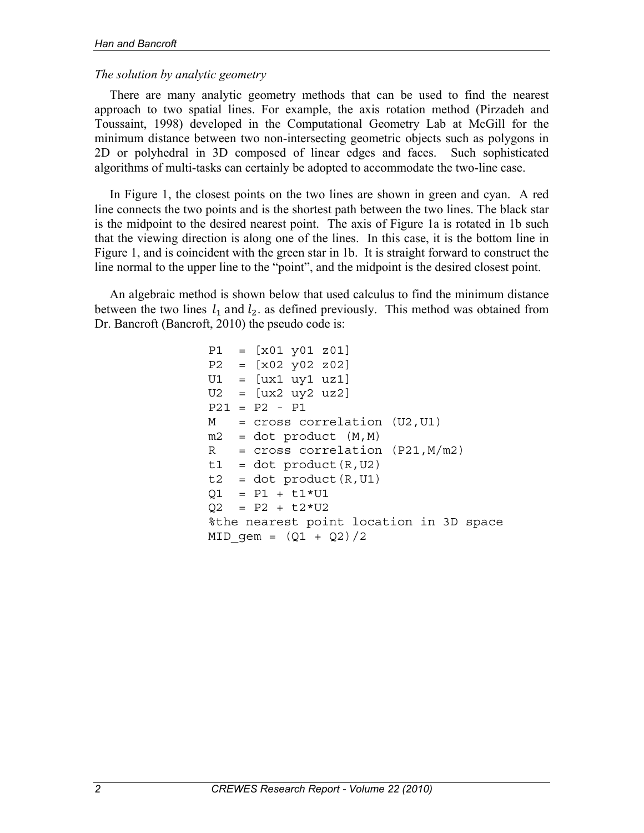### *The solution by analytic geometry*

There are many analytic geometry methods that can be used to find the nearest approach to two spatial lines. For example, the axis rotation method (Pirzadeh and Toussaint, 1998) developed in the Computational Geometry Lab at McGill for the minimum distance between two non-intersecting geometric objects such as polygons in 2D or polyhedral in 3D composed of linear edges and faces. Such sophisticated algorithms of multi-tasks can certainly be adopted to accommodate the two-line case.

In Figure 1, the closest points on the two lines are shown in green and cyan. A red line connects the two points and is the shortest path between the two lines. The black star is the midpoint to the desired nearest point. The axis of Figure 1a is rotated in 1b such that the viewing direction is along one of the lines. In this case, it is the bottom line in Figure 1, and is coincident with the green star in 1b. It is straight forward to construct the line normal to the upper line to the "point", and the midpoint is the desired closest point.

An algebraic method is shown below that used calculus to find the minimum distance between the two lines  $l_1$  and  $l_2$  as defined previously. This method was obtained from Dr. Bancroft (Bancroft, 2010) the pseudo code is:

> P1 = [x01 y01 z01] P2 = [x02 y02 z02] U1 = [ux1 uy1 uz1] U2 = [ux2 uy2 uz2]  $P21 = P2 - P1$ M = cross correlation (U2,U1)  $m2 = dot product (M,M)$  $R = cross correlation (P21, M/m2)$  $t1 = dot product(R,U2)$  $t2 = dot product(R,U1)$  $Q1 = P1 + t1*U1$  $Q2 = P2 + L2*U2$ %the nearest point location in 3D space MID  $qem = (Q1 + Q2)/2$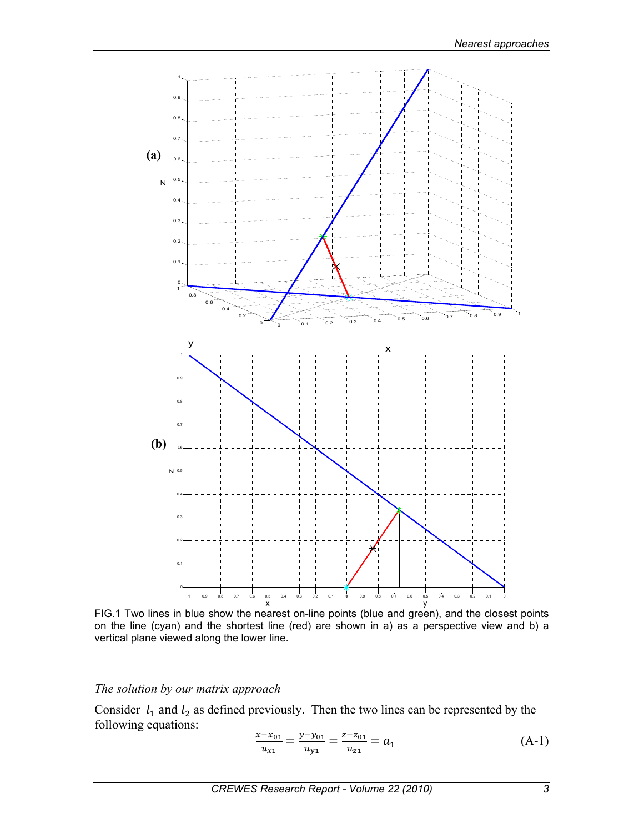

FIG.1 Two lines in blue show the nearest on-line points (blue and green), and the closest points on the line (cyan) and the shortest line (red) are shown in a) as a perspective view and b) a vertical plane viewed along the lower line.

### *The solution by our matrix approach*

Consider  $l_1$  and  $l_2$  as defined previously. Then the two lines can be represented by the following equations:

$$
\frac{x - x_{01}}{u_{x1}} = \frac{y - y_{01}}{u_{y1}} = \frac{z - z_{01}}{u_{z1}} = a_1
$$
 (A-1)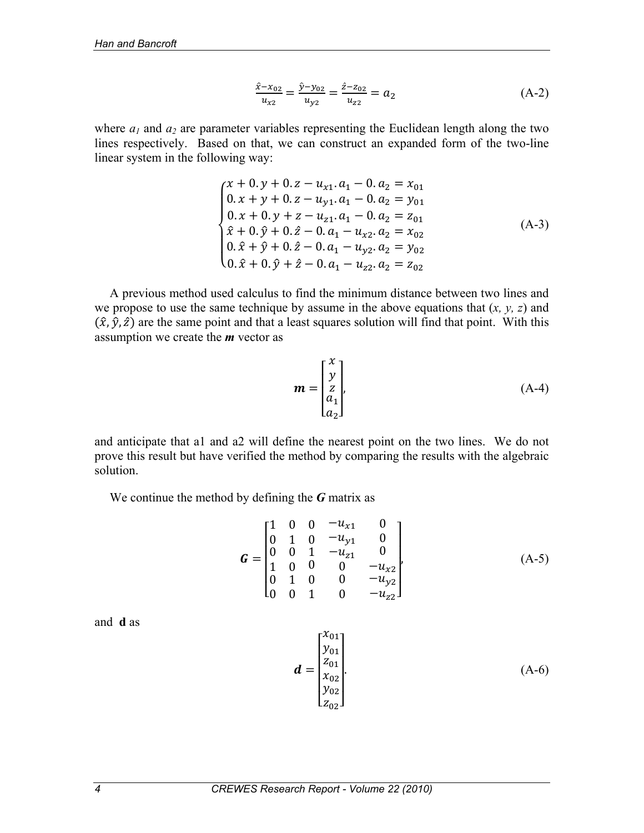$$
\frac{\hat{x} - x_{02}}{u_{x2}} = \frac{\hat{y} - y_{02}}{u_{y2}} = \frac{\hat{z} - z_{02}}{u_{z2}} = a_2 \tag{A-2}
$$

where  $a_1$  and  $a_2$  are parameter variables representing the Euclidean length along the two lines respectively. Based on that, we can construct an expanded form of the two-line linear system in the following way:

$$
\begin{cases}\nx + 0. y + 0. z - u_{x1}. a_1 - 0. a_2 = x_{01} \\
0. x + y + 0. z - u_{y1}. a_1 - 0. a_2 = y_{01} \\
0. x + 0. y + z - u_{z1}. a_1 - 0. a_2 = z_{01} \\
\hat{x} + 0. \hat{y} + 0. \hat{z} - 0. a_1 - u_{x2}. a_2 = x_{02} \\
0. \hat{x} + \hat{y} + 0. \hat{z} - 0. a_1 - u_{y2}. a_2 = y_{02} \\
0. \hat{x} + 0. \hat{y} + \hat{z} - 0. a_1 - u_{z2}. a_2 = z_{02}\n\end{cases} (A-3)
$$

A previous method used calculus to find the minimum distance between two lines and we propose to use the same technique by assume in the above equations that (*x, y, z*) and  $(\hat{x}, \hat{y}, \hat{z})$  are the same point and that a least squares solution will find that point. With this assumption we create the *m* vector as

$$
\mathbf{m} = \begin{bmatrix} x \\ y \\ z \\ a_1 \\ a_2 \end{bmatrix}, \tag{A-4}
$$

and anticipate that a1 and a2 will define the nearest point on the two lines. We do not prove this result but have verified the method by comparing the results with the algebraic solution.

We continue the method by defining the *G* matrix as

$$
G = \begin{bmatrix} 1 & 0 & 0 & -u_{x1} & 0 \\ 0 & 1 & 0 & -u_{y1} & 0 \\ 0 & 0 & 1 & -u_{z1} & 0 \\ 1 & 0 & 0 & 0 & -u_{x2} \\ 0 & 1 & 0 & 0 & -u_{y2} \\ 0 & 0 & 1 & 0 & -u_{z2} \end{bmatrix},
$$
 (A-5)

and **d** as

$$
\boldsymbol{d} = \begin{bmatrix} x_{01} \\ y_{01} \\ z_{01} \\ x_{02} \\ y_{02} \\ z_{02} \end{bmatrix} .
$$
 (A-6)

 $\overline{a}$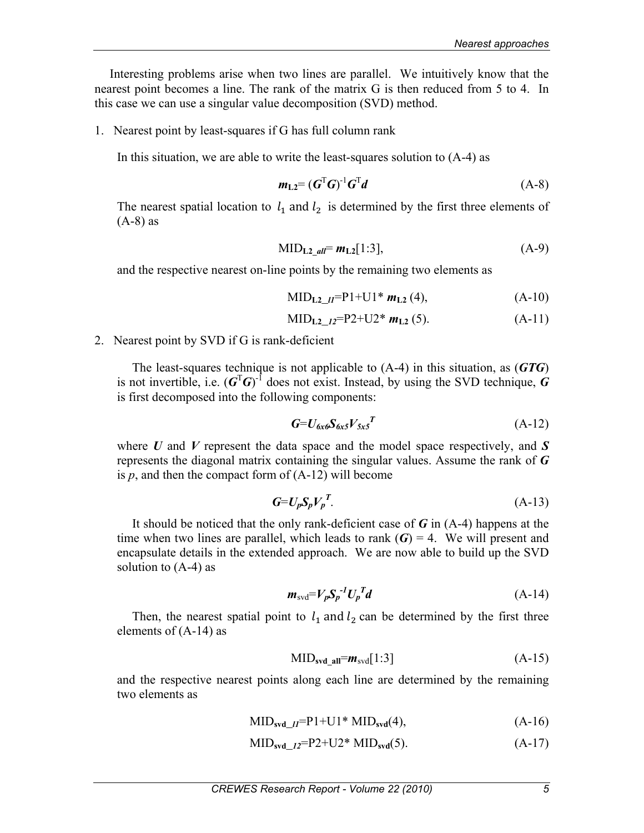Interesting problems arise when two lines are parallel. We intuitively know that the nearest point becomes a line. The rank of the matrix G is then reduced from 5 to 4. In this case we can use a singular value decomposition (SVD) method.

1. Nearest point by least-squares if G has full column rank

In this situation, we are able to write the least-squares solution to (A-4) as

$$
m_{\text{L2}} = (G^{\text{T}}G)^{\text{-1}}G^{\text{T}}d\tag{A-8}
$$

The nearest spatial location to  $l_1$  and  $l_2$  is determined by the first three elements of  $(A-8)$  as

$$
MID_{L2 \ all} = m_{L2}[1:3], \tag{A-9}
$$

and the respective nearest on-line points by the remaining two elements as

$$
MID_{L2\_II} = P1 + U1 * m_{L2} (4), \qquad (A-10)
$$

$$
MID_{L2\_12}=P2+U2* m_{L2}(5). \qquad (A-11)
$$

2. Nearest point by SVD if G is rank-deficient

The least-squares technique is not applicable to (A-4) in this situation, as (*GTG*) is not invertible, i.e.  $(G<sup>T</sup>G)<sup>-1</sup>$  does not exist. Instead, by using the SVD technique, *G* is first decomposed into the following components:

$$
G=U_{\delta x \delta} S_{\delta x 5} V_{5x 5}^T \tag{A-12}
$$

where *U* and *V* represent the data space and the model space respectively, and *S* represents the diagonal matrix containing the singular values. Assume the rank of *G* is  $p$ , and then the compact form of  $(A-12)$  will become

$$
G=U_pS_pV_p^T. \tag{A-13}
$$

It should be noticed that the only rank-deficient case of *G* in (A-4) happens at the time when two lines are parallel, which leads to rank  $(G) = 4$ . We will present and encapsulate details in the extended approach. We are now able to build up the SVD solution to (A-4) as

$$
m_{\text{svd}} = V_p S_p^{-1} U_p^T d \tag{A-14}
$$

Then, the nearest spatial point to  $l_1$  and  $l_2$  can be determined by the first three elements of (A-14) as

$$
MIDsvd_all = msvd[1:3]
$$
 (A-15)

and the respective nearest points along each line are determined by the remaining two elements as

$$
MIDsvd_{II} = P1 + U1 * MIDsvd(4),
$$
 (A-16)

$$
\text{MID}_{\text{svd}\_I2} = P2 + U2^* \text{MID}_{\text{svd}}(5). \tag{A-17}
$$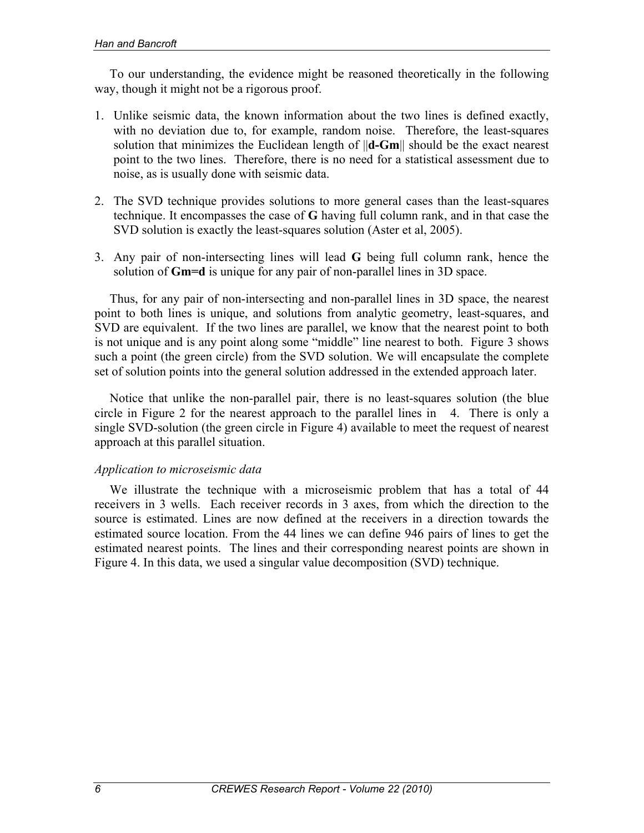To our understanding, the evidence might be reasoned theoretically in the following way, though it might not be a rigorous proof.

- 1. Unlike seismic data, the known information about the two lines is defined exactly, with no deviation due to, for example, random noise. Therefore, the least-squares solution that minimizes the Euclidean length of ||**d-Gm**|| should be the exact nearest point to the two lines. Therefore, there is no need for a statistical assessment due to noise, as is usually done with seismic data.
- 2. The SVD technique provides solutions to more general cases than the least-squares technique. It encompasses the case of **G** having full column rank, and in that case the SVD solution is exactly the least-squares solution (Aster et al, 2005).
- 3. Any pair of non-intersecting lines will lead **G** being full column rank, hence the solution of **Gm=d** is unique for any pair of non-parallel lines in 3D space.

Thus, for any pair of non-intersecting and non-parallel lines in 3D space, the nearest point to both lines is unique, and solutions from analytic geometry, least-squares, and SVD are equivalent. If the two lines are parallel, we know that the nearest point to both is not unique and is any point along some "middle" line nearest to both. Figure 3 shows such a point (the green circle) from the SVD solution. We will encapsulate the complete set of solution points into the general solution addressed in the extended approach later.

Notice that unlike the non-parallel pair, there is no least-squares solution (the blue circle in Figure 2 for the nearest approach to the parallel lines in 4. There is only a single SVD-solution (the green circle in Figure 4) available to meet the request of nearest approach at this parallel situation.

## *Application to microseismic data*

We illustrate the technique with a microseismic problem that has a total of 44 receivers in 3 wells. Each receiver records in 3 axes, from which the direction to the source is estimated. Lines are now defined at the receivers in a direction towards the estimated source location. From the 44 lines we can define 946 pairs of lines to get the estimated nearest points. The lines and their corresponding nearest points are shown in Figure 4. In this data, we used a singular value decomposition (SVD) technique.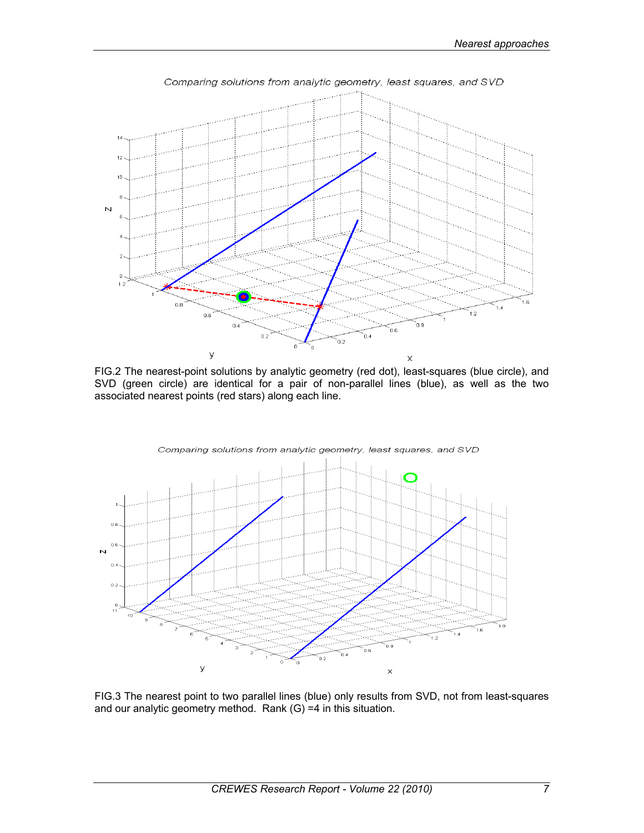

FIG.2 The nearest-point solutions by analytic geometry (red dot), least-squares (blue circle), and SVD (green circle) are identical for a pair of non-parallel lines (blue), as well as the two associated nearest points (red stars) along each line.



FIG.3 The nearest point to two parallel lines (blue) only results from SVD, not from least-squares and our analytic geometry method. Rank (G) =4 in this situation.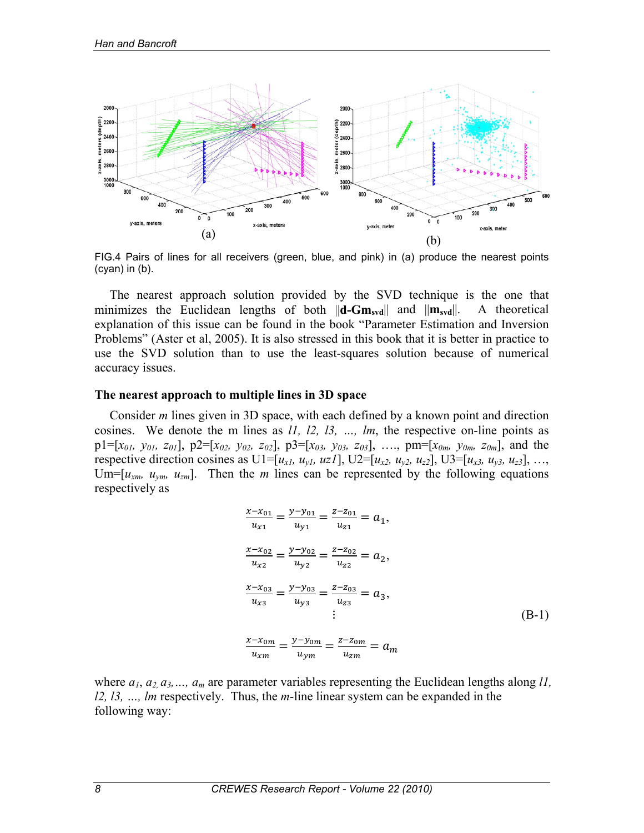

FIG.4 Pairs of lines for all receivers (green, blue, and pink) in (a) produce the nearest points (cyan) in (b).

The nearest approach solution provided by the SVD technique is the one that minimizes the Euclidean lengths of both  $\|\mathbf{d}\text{-}G\mathbf{m}_{svd}\|$  and  $\|\mathbf{m}_{svd}\|$ . A theoretical explanation of this issue can be found in the book "Parameter Estimation and Inversion Problems" (Aster et al, 2005). It is also stressed in this book that it is better in practice to use the SVD solution than to use the least-squares solution because of numerical accuracy issues.

#### **The nearest approach to multiple lines in 3D space**

Consider *m* lines given in 3D space, with each defined by a known point and direction cosines. We denote the m lines as *l1, l2, l3, …, lm*, the respective on-line points as  $p1=[x_{01}, y_{01}, z_{01}], p2=[x_{02}, y_{02}, z_{02}], p3=[x_{03}, y_{03}, z_{03}], \ldots, pm=[x_{0m}, y_{0m}, z_{0m}],$  and the respective direction cosines as U1=[ $u_{x1}$ ,  $u_{y1}$ ,  $uz1$ ], U2=[ $u_{x2}$ ,  $u_{y2}$ ,  $u_{z2}$ ], U3=[ $u_{x3}$ ,  $u_{y3}$ ,  $u_{z3}$ ], …, Um= $[u_{xm}, u_{ym}, u_{zm}]$ . Then the *m* lines can be represented by the following equations respectively as

$$
\frac{x - x_{01}}{u_{x1}} = \frac{y - y_{01}}{u_{y1}} = \frac{z - z_{01}}{u_{z1}} = a_1,
$$
\n
$$
\frac{x - x_{02}}{u_{x2}} = \frac{y - y_{02}}{u_{y2}} = \frac{z - z_{02}}{u_{z2}} = a_2,
$$
\n
$$
\frac{x - x_{03}}{u_{x3}} = \frac{y - y_{03}}{u_{y3}} = \frac{z - z_{03}}{u_{z3}} = a_3,
$$
\n
$$
\vdots
$$
\n
$$
\frac{x - x_{0m}}{u_{xm}} = \frac{y - y_{0m}}{u_{ym}} = \frac{z - z_{0m}}{u_{zm}} = a_m
$$
\n(B-1)

where  $a_1, a_2, a_3, \ldots, a_m$  are parameter variables representing the Euclidean lengths along *l1*, *l2, l3, …, lm* respectively. Thus, the *m*-line linear system can be expanded in the following way: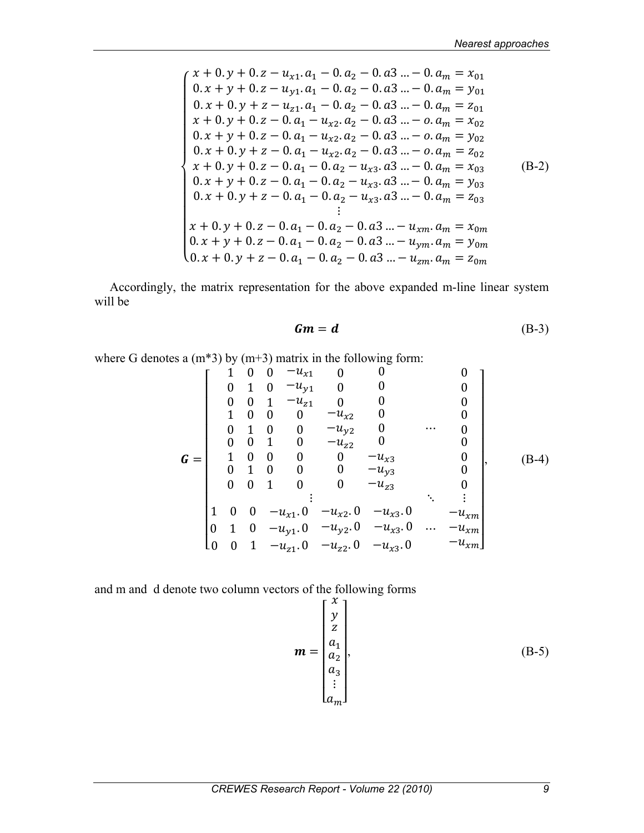$$
\begin{cases}\nx + 0. y + 0. z - u_{x1}. a_1 - 0. a_2 - 0. a_3 ... - 0. a_m = x_{01} \\
0. x + y + 0. z - u_{y1}. a_1 - 0. a_2 - 0. a_3 ... - 0. a_m = y_{01} \\
0. x + 0. y + z - u_{z1}. a_1 - 0. a_2 - 0. a_3 ... - 0. a_m = z_{01} \\
x + 0. y + 0. z - 0. a_1 - u_{x2}. a_2 - 0. a_3 ... - 0. a_m = x_{02} \\
0. x + y + 0. z - 0. a_1 - u_{x2}. a_2 - 0. a_3 ... - 0. a_m = y_{02} \\
0. x + 0. y + z - 0. a_1 - u_{x2}. a_2 - 0. a_3 ... - 0. a_m = z_{02} \\
x + 0. y + 0. z - 0. a_1 - 0. a_2 - u_{x3}. a_3 ... - 0. a_m = x_{03} \\
0. x + y + 0. z - 0. a_1 - 0. a_2 - u_{x3}. a_3 ... - 0. a_m = y_{03} \\
0. x + 0. y + z - 0. a_1 - 0. a_2 - u_{x3}. a_3 ... - 0. a_m = z_{03} \\
\vdots \\
x + 0. y + 0. z - 0. a_1 - 0. a_2 - 0. a_3 ... - u_{xm}. a_m = x_{0m} \\
0. x + y + 0. z - 0. a_1 - 0. a_2 - 0. a_3 ... - u_{ym}. a_m = y_{0m} \\
0. x + 0. y + z - 0. a_1 - 0. a_2 - 0. a_3 ... - u_{zm}. a_m = z_{0m}\n\end{cases} (B-2)
$$

Accordingly, the matrix representation for the above expanded m-line linear system will be

$$
Gm = d \tag{B-3}
$$

where G denotes a  $(m*3)$  by  $(m+3)$  matrix in the following form:

$$
\mathbf{G} = \begin{bmatrix}\n1 & 0 & 0 & -u_{x1} & 0 & 0 & 0 & 0 \\
0 & 1 & 0 & -u_{y1} & 0 & 0 & 0 & 0 \\
0 & 0 & 1 & -u_{z1} & 0 & 0 & 0 & 0 \\
1 & 0 & 0 & 0 & -u_{x2} & 0 & 0 & 0 \\
0 & 1 & 0 & 0 & -u_{z2} & 0 & 0 & 0 \\
0 & 0 & 1 & 0 & -u_{z2} & 0 & 0 & 0 \\
0 & 1 & 0 & 0 & 0 & -u_{x3} & 0 & 0 \\
0 & 1 & 0 & 0 & 0 & -u_{z3} & 0 & 0 \\
0 & 0 & 1 & 0 & 0 & -u_{z3} & 0 & -u_{xm} \\
\vdots & \vdots & \vdots & \ddots & \vdots & \vdots & \ddots & \vdots \\
1 & 0 & 0 & -u_{x1} & 0 & -u_{x2} & 0 & -u_{x3} & 0 & -u_{xm} \\
0 & 1 & 0 & -u_{y1} & 0 & -u_{y2} & 0 & -u_{x3} & 0 & \cdots & -u_{xm} \\
0 & 0 & 1 & -u_{z1} & 0 & -u_{z2} & 0 & -u_{x3} & 0 & -u_{xm}\n\end{bmatrix}
$$
\n(B-4)

and m and d denote two column vectors of the following forms

$$
\mathbf{m} = \begin{bmatrix} x \\ y \\ z \\ a_1 \\ a_2 \\ a_3 \\ \vdots \\ a_m \end{bmatrix}, \tag{B-5}
$$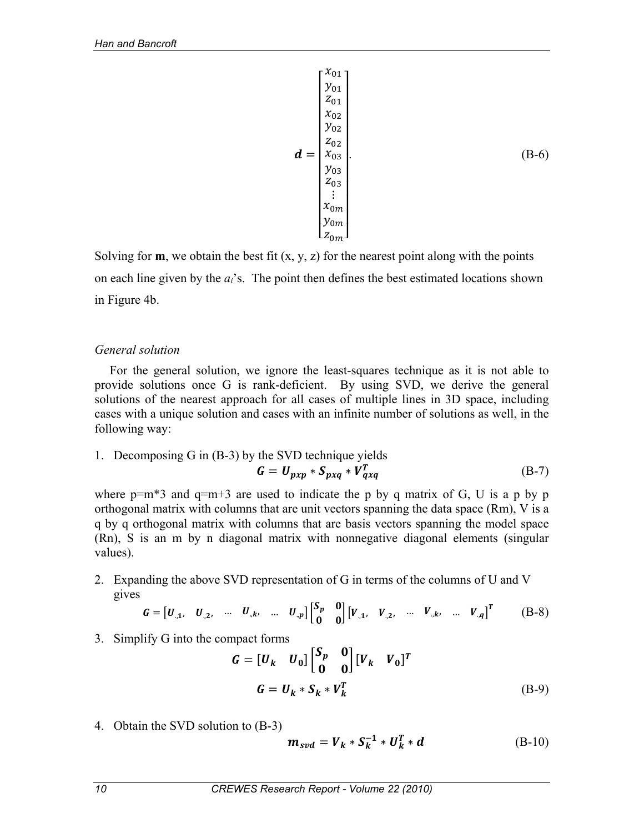$$
\boldsymbol{d} = \begin{bmatrix} x_{01} \\ y_{01} \\ z_{01} \\ x_{02} \\ y_{02} \\ z_{02} \\ y_{03} \\ y_{03} \\ z_{03} \\ \vdots \\ x_{0m} \\ y_{0m} \\ z_{0m} \end{bmatrix} . \tag{B-6}
$$

Solving for **m**, we obtain the best fit  $(x, y, z)$  for the nearest point along with the points on each line given by the *ai*'s. The point then defines the best estimated locations shown in Figure 4b.

## *General solution*

For the general solution, we ignore the least-squares technique as it is not able to provide solutions once G is rank-deficient. By using SVD, we derive the general solutions of the nearest approach for all cases of multiple lines in 3D space, including cases with a unique solution and cases with an infinite number of solutions as well, in the following way:

1. Decomposing G in (B-3) by the SVD technique yields  
\n
$$
G = U_{pxp} * S_{pxq} * V_{qxq}^T
$$
\n(B-7)

where  $p=m*3$  and  $q=m+3$  are used to indicate the p by q matrix of G, U is a p by p orthogonal matrix with columns that are unit vectors spanning the data space (Rm), V is a q by q orthogonal matrix with columns that are basis vectors spanning the model space (Rn), S is an m by n diagonal matrix with nonnegative diagonal elements (singular values).

2. Expanding the above SVD representation of G in terms of the columns of U and V gives

$$
G = [U_{,1}, U_{,2}, \dots U_{,k}, \dots U_{,p}] \begin{bmatrix} S_p & 0 \\ 0 & 0 \end{bmatrix} [V_{,1}, V_{,2}, \dots V_{,k}, \dots V_{,q}]^T
$$
 (B-8)

3. Simplify G into the compact forms

$$
G = [U_k \quad U_0] \begin{bmatrix} S_p & 0 \\ 0 & 0 \end{bmatrix} [V_k \quad V_0]^T
$$
  

$$
G = U_k * S_k * V_k^T
$$
 (B-9)

4. Obtain the SVD solution to (B-3)

$$
\mathbf{m}_{svd} = \mathbf{V}_k * \mathbf{S}_k^{-1} * \mathbf{U}_k^T * \mathbf{d}
$$
 (B-10)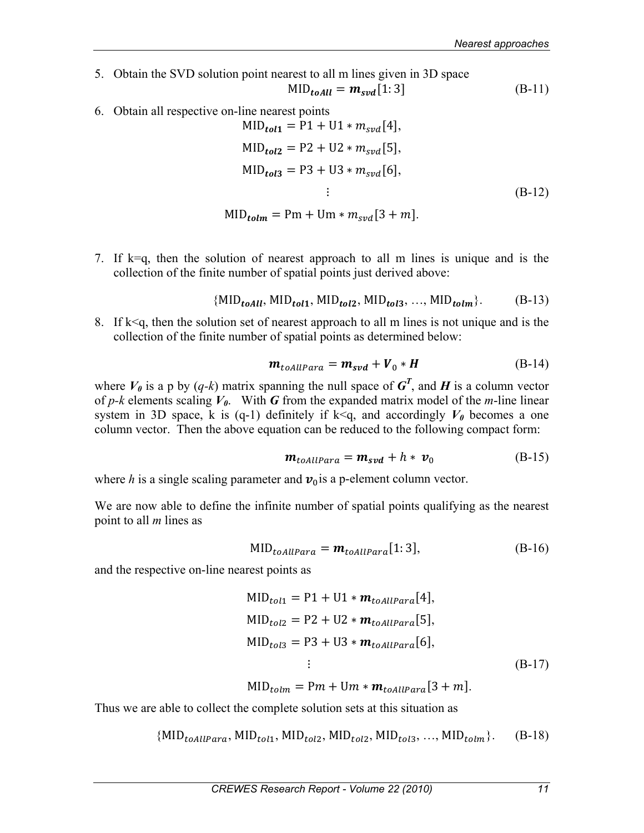5. Obtain the SVD solution point nearest to all m lines given in 3D space

$$
MID_{toAll} = m_{svd}[1:3]
$$
 (B-11)

6. Obtain all respective on-line nearest points

$$
MID_{tol1} = P1 + U1 * m_{svd}[4],
$$
  
\n
$$
MID_{tol2} = P2 + U2 * m_{svd}[5],
$$
  
\n
$$
MID_{tol3} = P3 + U3 * m_{svd}[6],
$$
  
\n
$$
\vdots
$$
  
\n
$$
MID_{tolm} = Pm + Um * m_{svd}[3 + m].
$$
  
\n(B-12)

7. If k=q, then the solution of nearest approach to all m lines is unique and is the collection of the finite number of spatial points just derived above:

$$
\{MID_{toAll}, MID_{tol1}, MID_{tol2}, MID_{tol3}, ..., MID_{tolm}\}.
$$
 (B-13)

8. If  $k \leq q$ , then the solution set of nearest approach to all m lines is not unique and is the collection of the finite number of spatial points as determined below:

$$
\boldsymbol{m}_{toAllPara} = \boldsymbol{m}_{svd} + \boldsymbol{V}_0 \ast \boldsymbol{H} \tag{B-14}
$$

where  $V_0$  is a p by  $(q-k)$  matrix spanning the null space of  $G^T$ , and H is a column vector of  $p-k$  elements scaling  $V_0$ . With **G** from the expanded matrix model of the *m*-line linear system in 3D space, k is (q-1) definitely if  $k < q$ , and accordingly  $V_0$  becomes a one column vector. Then the above equation can be reduced to the following compact form:

$$
\mathbf{m}_{toAllPara} = \mathbf{m}_{svd} + h * \mathbf{v}_0 \tag{B-15}
$$

where *h* is a single scaling parameter and  $v_0$  is a p-element column vector.

We are now able to define the infinite number of spatial points qualifying as the nearest point to all *m* lines as

$$
MID_{toAllPara} = m_{toAllPara}[1:3], \tag{B-16}
$$

and the respective on-line nearest points as

$$
MIDtol1 = P1 + U1 * mtoAllPara[4],
$$
  
\n
$$
MIDtol2 = P2 + U2 * mtoAllPara[5],
$$
  
\n
$$
MIDtol3 = P3 + U3 * mtoAllPara[6],
$$
  
\n
$$
\vdots
$$
  
\n
$$
MID1 = Pm + Um + m
$$
  
\n
$$
[3 + m]
$$
  
\n
$$
(B-17)
$$

 $MID_{tolm} = Pm + Um * m_{toallPara}[3+m].$ 

Thus we are able to collect the complete solution sets at this situation as

$$
\{MID_{toAllPara}, MID_{tol1}, MID_{tol2}, MID_{tol2}, MID_{tol3}, ..., MID_{tolm}\}.
$$
 (B-18)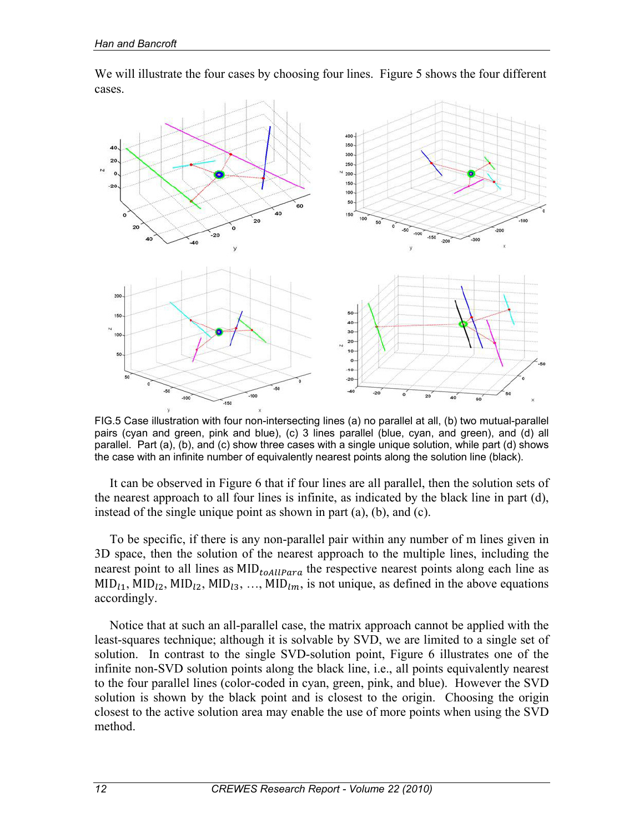

We will illustrate the four cases by choosing four lines. Figure 5 shows the four different cases.

FIG.5 Case illustration with four non-intersecting lines (a) no parallel at all, (b) two mutual-parallel pairs (cyan and green, pink and blue), (c) 3 lines parallel (blue, cyan, and green), and (d) all parallel. Part (a), (b), and (c) show three cases with a single unique solution, while part (d) shows the case with an infinite number of equivalently nearest points along the solution line (black).

It can be observed in Figure 6 that if four lines are all parallel, then the solution sets of the nearest approach to all four lines is infinite, as indicated by the black line in part (d), instead of the single unique point as shown in part (a), (b), and (c).

To be specific, if there is any non-parallel pair within any number of m lines given in 3D space, then the solution of the nearest approach to the multiple lines, including the nearest point to all lines as  $MID_{toAllPara}$  the respective nearest points along each line as  $MID<sub>l1</sub>, MID<sub>l2</sub>, MID<sub>l2</sub>, MID<sub>l3</sub>, ..., MID<sub>lm</sub>$ , is not unique, as defined in the above equations accordingly.

Notice that at such an all-parallel case, the matrix approach cannot be applied with the least-squares technique; although it is solvable by SVD, we are limited to a single set of solution. In contrast to the single SVD-solution point, Figure 6 illustrates one of the infinite non-SVD solution points along the black line, i.e., all points equivalently nearest to the four parallel lines (color-coded in cyan, green, pink, and blue). However the SVD solution is shown by the black point and is closest to the origin. Choosing the origin closest to the active solution area may enable the use of more points when using the SVD method.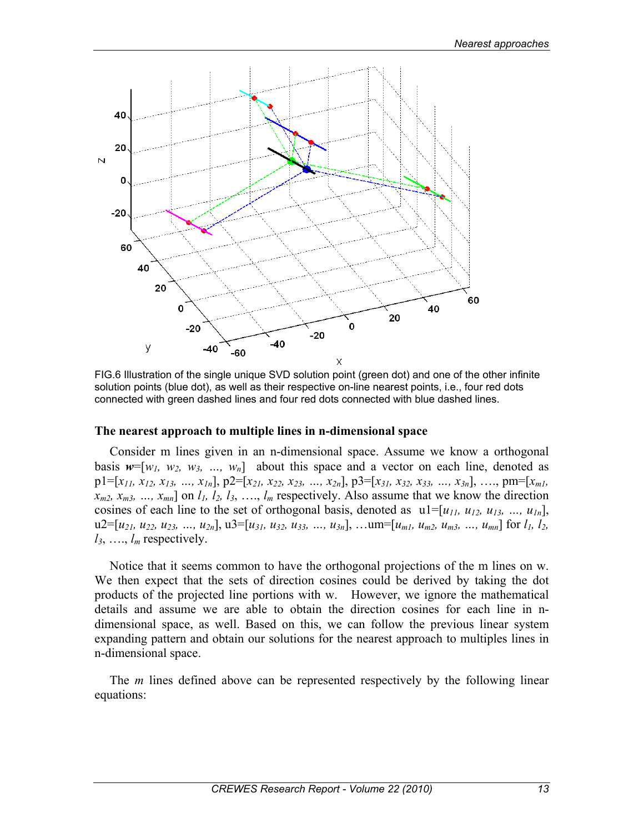

FIG.6 Illustration of the single unique SVD solution point (green dot) and one of the other infinite solution points (blue dot), as well as their respective on-line nearest points, i.e., four red dots connected with green dashed lines and four red dots connected with blue dashed lines.

#### **The nearest approach to multiple lines in n-dimensional space**

Consider m lines given in an n-dimensional space. Assume we know a orthogonal basis  $w=[w_1, w_2, w_3, ..., w_n]$  about this space and a vector on each line, denoted as  $p1=[x_{11}, x_{12}, x_{13}, ..., x_{1n}], p2=[x_{21}, x_{22}, x_{23}, ..., x_{2n}], p3=[x_{31}, x_{32}, x_{33}, ..., x_{3n}], ..., pm=[x_{m1}, x_{12}, x_{13}, ..., x_{1n}], p2=[x_{11}, x_{12}, x_{13}, ..., x_{1n}], p3=[x_{11}, x_{12}, x_{13}, ..., x_{1n}],$  $x_{m2}$ ,  $x_{m3}$ , ...,  $x_{mn}$ ] on  $l_1$ ,  $l_2$ ,  $l_3$ , ...,  $l_m$  respectively. Also assume that we know the direction cosines of each line to the set of orthogonal basis, denoted as  $ul=[u_{11}, u_{12}, u_{13}, ..., u_{1n}]$ ,  $u2=[u_1, u_2, u_2, u_3, ..., u_{2n}],$   $u3=[u_3, u_3, u_3, ..., u_{3n}],$  …um=[ $u_{m1}, u_{m2}, u_{m3}, ..., u_{mn}$ ] for  $l_1, l_2$ ,  $l_3$ , ...,  $l_m$  respectively.

Notice that it seems common to have the orthogonal projections of the m lines on w. We then expect that the sets of direction cosines could be derived by taking the dot products of the projected line portions with w. However, we ignore the mathematical details and assume we are able to obtain the direction cosines for each line in ndimensional space, as well. Based on this, we can follow the previous linear system expanding pattern and obtain our solutions for the nearest approach to multiples lines in n-dimensional space.

The *m* lines defined above can be represented respectively by the following linear equations: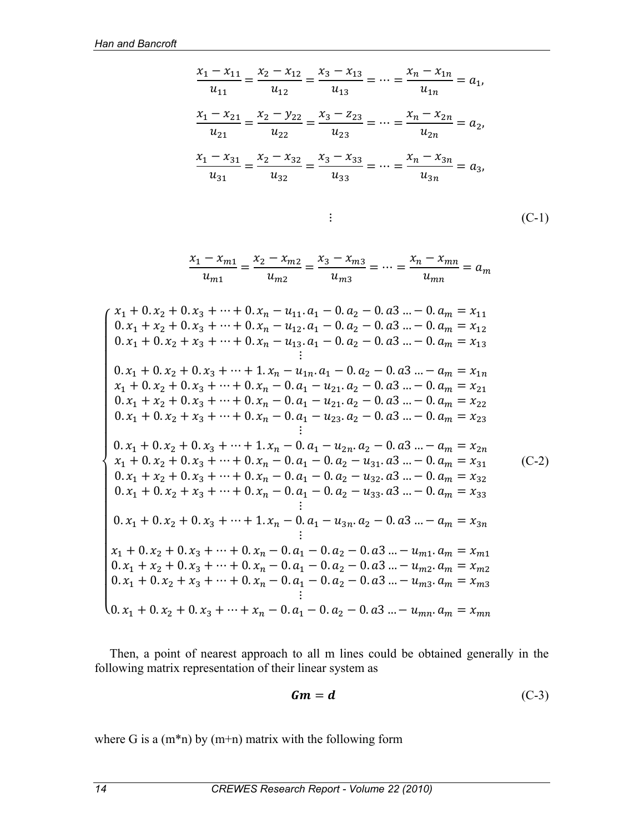$$
\frac{x_1 - x_{11}}{u_{11}} = \frac{x_2 - x_{12}}{u_{12}} = \frac{x_3 - x_{13}}{u_{13}} = \dots = \frac{x_n - x_{1n}}{u_{1n}} = a_1,
$$
  

$$
\frac{x_1 - x_{21}}{u_{21}} = \frac{x_2 - y_{22}}{u_{22}} = \frac{x_3 - z_{23}}{u_{23}} = \dots = \frac{x_n - x_{2n}}{u_{2n}} = a_2,
$$
  

$$
\frac{x_1 - x_{31}}{u_{31}} = \frac{x_2 - x_{32}}{u_{32}} = \frac{x_3 - x_{33}}{u_{33}} = \dots = \frac{x_n - x_{3n}}{u_{3n}} = a_3,
$$

$$
\vdots \qquad \qquad \text{(C-1)}
$$

$$
\frac{x_1 - x_{m1}}{u_{m1}} = \frac{x_2 - x_{m2}}{u_{m2}} = \frac{x_3 - x_{m3}}{u_{m3}} = \dots = \frac{x_n - x_{mn}}{u_{mn}} = a_m
$$

 $\overline{\mathcal{L}}$ **i** and the second control of the second to the second to the second to the second to the second to the second to  $\left[0.x_1 + 0.x_2 + x_3 + \cdots + 0.x_n - 0.a_1 - 0.a_2 - 0.a_3 \cdots - u_{m3}.a_m = x_{m3}\right]$  $\left[0.x_1 + x_2 + 0.x_3 + \cdots + 0.x_n - 0.a_1 - 0.a_2 - 0.a_3 \cdots - u_{m2}.a_m = x_{m2}\right]$  $\overline{a}$  $\overline{a}$  $\overline{a}$  $\overline{a}$  $\overline{a}$  $\overline{a}$  $\overline{a}$  $\overline{a}$  $\overline{a}$  $\overline{a}$  $\overline{a}$  $\overline{a}$  $\overline{a}$  $\overline{a}$  $\overline{a}$  $\overline{a}$  $x_1 + 0. x_2 + 0. x_3 + \cdots + 0. x_n - u_{11}. a_1 - 0. a_2 - 0. a_3 ... - 0. a_m = x_{11}$  $0. x_1 + x_2 + 0. x_3 + \cdots + 0. x_n - u_{12}. a_1 - 0. a_2 - 0. a_3 ... - 0. a_m = x_{12}$  $0. x_1 + 0. x_2 + x_3 + \cdots + 0. x_n - u_{13}. a_1 - 0. a_2 - 0. a_3 ... - 0. a_m = x_{13}$ ⋮  $0. x_1 + 0. x_2 + 0. x_3 + \cdots + 1. x_n - u_{1n}. a_1 - 0. a_2 - 0. a_3 ... - a_m = x_{1n}$  $x_1 + 0. x_2 + 0. x_3 + \cdots + 0. x_n - 0. a_1 - u_{21}. a_2 - 0. a_3 ... - 0. a_m = x_{21}$  $0. x_1 + x_2 + 0. x_3 + \cdots + 0. x_n - 0. a_1 - u_{21}. a_2 - 0. a_3 ... - 0. a_m = x_{22}$  $0. x_1 + 0. x_2 + x_3 + \cdots + 0. x_n - 0. a_1 - u_{23}. a_2 - 0. a_3 ... - 0. a_m = x_{23}$ ⋮  $0. x_1 + 0. x_2 + 0. x_3 + \cdots + 1. x_n - 0. a_1 - u_{2n}. a_2 - 0. a_3 ... - a_m = x_{2n}$  $x_1 + 0. x_2 + 0. x_3 + \cdots + 0. x_n - 0. a_1 - 0. a_2 - u_{31}. a_3 ... - 0. a_m = x_{31}$  $0. x_1 + x_2 + 0. x_3 + \cdots + 0. x_n - 0. a_1 - 0. a_2 - u_{32}. a_3 ... - 0. a_m = x_{32}$  $0. x_1 + 0. x_2 + x_3 + \cdots + 0. x_n - 0. a_1 - 0. a_2 - u_{33}. a_3 ... - 0. a_m = x_{33}$ ⋮  $0. x_1 + 0. x_2 + 0. x_3 + \cdots + 1. x_n - 0. a_1 - u_{3n}. a_2 - 0. a_3 ... - a_m = x_{3n}$ ⋮  $x_1 + 0. x_2 + 0. x_3 + \dots + 0. x_n - 0. a_1 - 0. a_2 - 0. a_3 ... - u_{m1}. a_m = x_{m1}$  $0. x_1 + 0. x_2 + 0. x_3 + \dots + x_n - 0. a_1 - 0. a_2 - 0. a_3 ... - u_{mn}. a_m = x_{mn}$  $(C-2)$ 

Then, a point of nearest approach to all m lines could be obtained generally in the following matrix representation of their linear system as

$$
Gm = d \tag{C-3}
$$

where G is a  $(m*n)$  by  $(m+n)$  matrix with the following form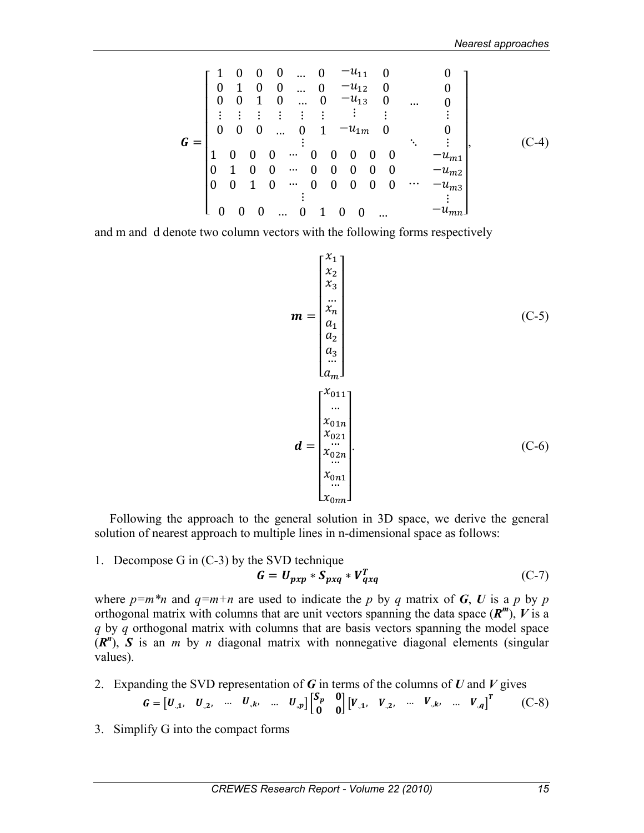$$
G = \begin{bmatrix} 1 & 0 & 0 & 0 & \dots & 0 & -u_{11} & 0 & 0 \\ 0 & 1 & 0 & 0 & \dots & 0 & -u_{12} & 0 & 0 \\ 0 & 0 & 1 & 0 & \dots & 0 & -u_{13} & 0 & \dots & 0 \\ \vdots & \vdots & \vdots & \vdots & \vdots & \vdots & \vdots & \vdots & \vdots \\ 0 & 0 & 0 & \dots & 0 & 1 & -u_{1m} & 0 & 0 \\ 1 & 0 & 0 & 0 & \dots & 0 & 0 & 0 & 0 & -u_{m1} \\ 0 & 1 & 0 & 0 & \dots & 0 & 0 & 0 & 0 & 0 & -u_{m2} \\ 0 & 0 & 1 & 0 & \dots & 0 & 0 & 0 & 0 & \dots & -u_{m3} \\ \vdots & \vdots & \vdots & \vdots & \vdots & \vdots & \vdots & \vdots \\ 0 & 0 & 0 & \dots & 0 & 1 & 0 & 0 & \dots & -u_{mn} \end{bmatrix}
$$
 (C-4)

and m and d denote two column vectors with the following forms respectively

$$
\mathbf{m} = \begin{bmatrix} x_1 \\ x_2 \\ x_3 \\ \vdots \\ x_n \\ x_2 \\ \vdots \\ x_n \\ \vdots \\ x_0 \text{in} \\ x_0 \text{in} \\ \vdots \\ x_0 \text{in} \\ x_0 \text{in} \\ \vdots \\ x_0 \text{in} \\ x_0 \text{in} \\ \vdots \\ x_0 \text{in} \\ x_0 \text{in} \\ \vdots \\ x_0 \text{in} \\ x_0 \text{in} \end{bmatrix} (C-6)
$$

Following the approach to the general solution in 3D space, we derive the general solution of nearest approach to multiple lines in n-dimensional space as follows:

1. Decompose G in (C-3) by the SVD technique

$$
G = U_{pxp} * S_{pxq} * V_{qxq}^T
$$
 (C-7)

where  $p=m*n$  and  $q=m+n$  are used to indicate the p by q matrix of G, U is a p by p orthogonal matrix with columns that are unit vectors spanning the data space  $(R^m)$ , V is a *q* by *q* orthogonal matrix with columns that are basis vectors spanning the model space  $(R<sup>n</sup>)$ , *S* is an *m* by *n* diagonal matrix with nonnegative diagonal elements (singular values).

- 2. Expanding the SVD representation of *G* in terms of the columns of *U* and *V* gives  $G = [U_{,1}, U_{,2}, \dots U_{,k}, \dots U_{,p}]$  $\begin{bmatrix} S_p & 0 \\ 0 & 0 \end{bmatrix} [V_{,1}, V_{,2}, \dots V_{,k}, \dots V_{,q}]^T$  (C-8)
- 3. Simplify G into the compact forms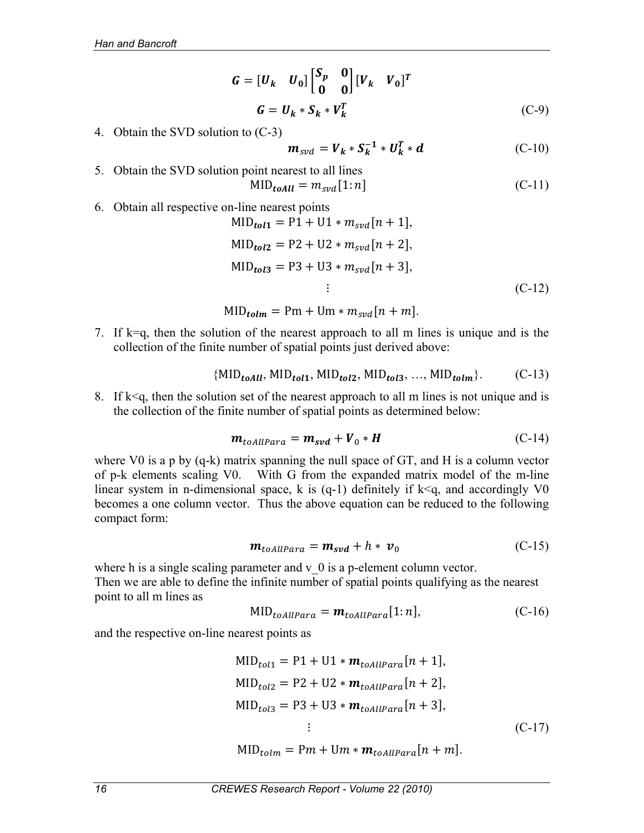$$
G = [U_k \quad U_0] \begin{bmatrix} S_p & 0 \\ 0 & 0 \end{bmatrix} [V_k \quad V_0]^T
$$
  

$$
G = U_k * S_k * V_k^T
$$
 (C-9)

4. Obtain the SVD solution to (C-3)

$$
\mathbf{m}_{svd} = \mathbf{V}_k * \mathbf{S}_k^{-1} * \mathbf{U}_k^T * \mathbf{d}
$$
 (C-10)

- 5. Obtain the SVD solution point nearest to all lines  $MID_{toAll} = m_{svd} [1:n]$  (C-11)
- 6. Obtain all respective on-line nearest points

$$
MID_{tol1} = P1 + U1 * m_{svd}[n + 1],
$$
  
\n
$$
MID_{tol2} = P2 + U2 * m_{svd}[n + 2],
$$
  
\n
$$
MID_{tol3} = P3 + U3 * m_{svd}[n + 3],
$$
  
\n
$$
\vdots
$$
\n(C-12)

 $MID_{tolm} = Pm + Um * m_{svd}[n + m].$ 

7. If k=q, then the solution of the nearest approach to all m lines is unique and is the collection of the finite number of spatial points just derived above:

$$
\{MID_{toAll}, MID_{to11}, MID_{to12}, MID_{to13}, ..., MID_{to1m}\}.
$$
 (C-13)

8. If  $k \leq q$ , then the solution set of the nearest approach to all m lines is not unique and is the collection of the finite number of spatial points as determined below:

$$
\mathbf{m}_{toAllPara} = \mathbf{m}_{svd} + \mathbf{V}_0 * \mathbf{H} \tag{C-14}
$$

where V0 is a p by (q-k) matrix spanning the null space of GT, and H is a column vector of p-k elements scaling V0. With G from the expanded matrix model of the m-line linear system in n-dimensional space, k is  $(q-1)$  definitely if  $k < q$ , and accordingly V0 becomes a one column vector. Thus the above equation can be reduced to the following compact form:

$$
\mathbf{m}_{toAllPara} = \mathbf{m}_{svd} + h * \mathbf{v}_0 \tag{C-15}
$$

where h is a single scaling parameter and  $v\theta$  is a p-element column vector. Then we are able to define the infinite number of spatial points qualifying as the nearest point to all m lines as

$$
MID_{toAllPara} = m_{toAllPara}[1:n], \qquad (C-16)
$$

and the respective on-line nearest points as

$$
MID_{tol1} = P1 + U1 * m_{toAllPara}[n + 1],
$$
  
\n
$$
MID_{tol2} = P2 + U2 * m_{toAllPara}[n + 2],
$$
  
\n
$$
MID_{tol3} = P3 + U3 * m_{toAllPara}[n + 3],
$$
  
\n
$$
\vdots
$$
\n(C-17)

 $MID_{tolm} = Pm + Um * m_{toAllPara}[n + m].$